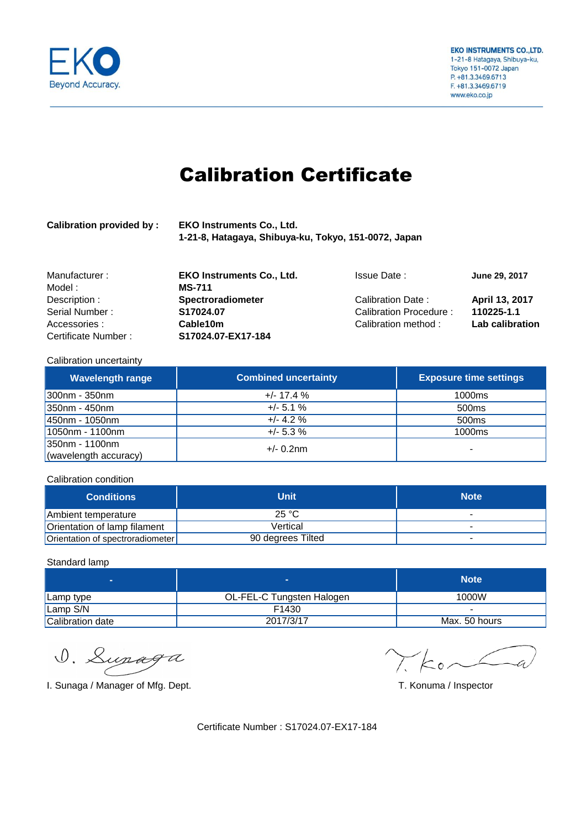

# Calibration Certificate

| <b>Calibration provided by:</b> | <b>EKO Instruments Co., Ltd.</b>                     |
|---------------------------------|------------------------------------------------------|
|                                 | 1-21-8, Hatagaya, Shibuya-ku, Tokyo, 151-0072, Japan |

| Manufacturer:       | <b>EKO Instruments Co., Ltd.</b> | <b>Issue Date:</b>     | June 29, 2017   |
|---------------------|----------------------------------|------------------------|-----------------|
| Model :             | <b>MS-711</b>                    |                        |                 |
| Description :       | <b>Spectroradiometer</b>         | Calibration Date:      | April 13, 2017  |
| Serial Number:      | S17024.07                        | Calibration Procedure: | 110225-1.1      |
| Accessories:        | Cable 10m                        | Calibration method:    | Lab calibration |
| Certificate Number: | S17024.07-EX17-184               |                        |                 |

### Calibration uncertainty

| <b>Wavelength range</b> | <b>Combined uncertainty</b> | <b>Exposure time settings</b> |
|-------------------------|-----------------------------|-------------------------------|
| $300$ nm - 350nm        | $+/- 17.4%$                 | 1000 <sub>ms</sub>            |
| 350nm - 450nm           | $+/- 5.1 \%$                | 500ms                         |
| 450nm - 1050nm          | $+/- 4.2 \%$                | 500 <sub>ms</sub>             |
| 1050nm - 1100nm         | $+/- 5.3 \%$                | 1000 <sub>ms</sub>            |
| 350nm - 1100nm          | $+/- 0.2$ nm                |                               |
| (wavelength accuracy)   |                             |                               |

#### Calibration condition

| <b>Conditions</b>                | Unit              | <b>Note</b> |
|----------------------------------|-------------------|-------------|
| Ambient temperature              | 25 °C             |             |
| Orientation of lamp filament     | Vertical          |             |
| Orientation of spectroradiometer | 90 degrees Tilted | $\,$        |

### Standard lamp

| -                | −                         | <b>Note</b>   |
|------------------|---------------------------|---------------|
| Lamp type        | OL-FEL-C Tungsten Halogen | 1000W         |
| Lamp S/N         | F1430                     |               |
| Calibration date | 2017/3/17                 | Max. 50 hours |

D. Lupaga

I. Sunaga / Manager of Mfg. Dept. T. Konuma / Inspector

 $\chi_{\text{Kon}}$  $\angle$ a

Certificate Number : S17024.07-EX17-184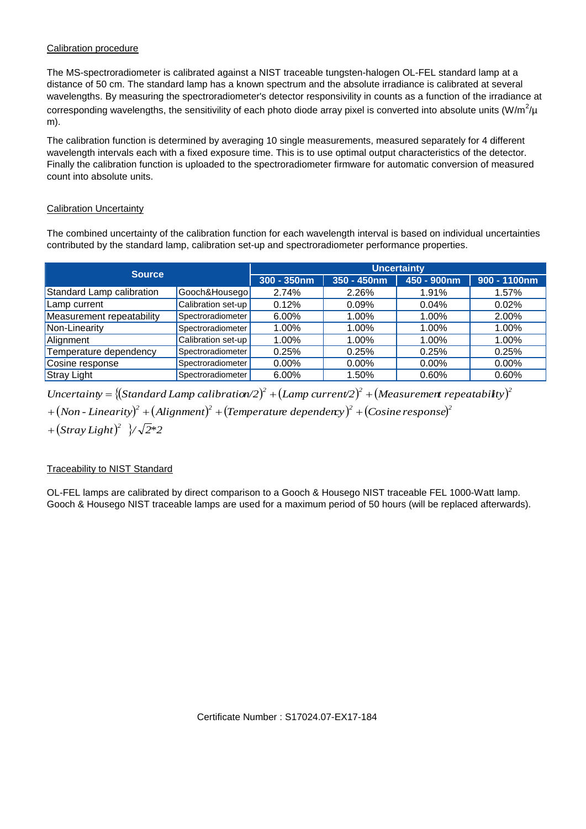## Calibration procedure

The MS-spectroradiometer is calibrated against a NIST traceable tungsten-halogen OL-FEL standard lamp at a distance of 50 cm. The standard lamp has a known spectrum and the absolute irradiance is calibrated at several wavelengths. By measuring the spectroradiometer's detector responsivility in counts as a function of the irradiance at corresponding wavelengths, the sensitivility of each photo diode array pixel is converted into absolute units (W/m<sup>2</sup>/µ m).

The calibration function is determined by averaging 10 single measurements, measured separately for 4 different wavelength intervals each with a fixed exposure time. This is to use optimal output characteristics of the detector. Finally the calibration function is uploaded to the spectroradiometer firmware for automatic conversion of measured count into absolute units.

## Calibration Uncertainty

The combined uncertainty of the calibration function for each wavelength interval is based on individual uncertainties contributed by the standard lamp, calibration set-up and spectroradiometer performance properties.

| <b>Source</b>             |                    | <b>Uncertainty</b> |             |             |                 |
|---------------------------|--------------------|--------------------|-------------|-------------|-----------------|
|                           |                    | $300 - 350$ nm     | 350 - 450nm | 450 - 900nm | $900 - 1100$ nm |
| Standard Lamp calibration | Gooch&Housego      | 2.74%              | 2.26%       | 1.91%       | 1.57%           |
| Lamp current              | Calibration set-up | 0.12%              | 0.09%       | 0.04%       | 0.02%           |
| Measurement repeatability | Spectroradiometer  | 6.00%              | 1.00%       | 1.00%       | 2.00%           |
| Non-Linearity             | Spectroradiometer  | 1.00%              | 1.00%       | 1.00%       | 1.00%           |
| Alignment                 | Calibration set-up | 1.00%              | 1.00%       | 1.00%       | 1.00%           |
| Temperature dependency    | Spectroradiometer  | 0.25%              | 0.25%       | 0.25%       | 0.25%           |
| Cosine response           | Spectroradiometer  | $0.00\%$           | $0.00\%$    | $0.00\%$    | $0.00\%$        |
| <b>Stray Light</b>        | Spectroradiometer  | 6.00%              | 1.50%       | 0.60%       | 0.60%           |

 $Uncertainty = \{(Standard \ Lamp; map \ calibration/2)^2 + (Lamp \ current/2)^2 + (Mean \ event/2)^2 + (Mean \ current/2)^2 + (Mean \ time/2)^2\}$  $+$   $\left($  Non - Linearity) $^2$   $+$   $\left($  Alignment) $^2$   $+$   $\left($  Temperature dependency) $^2$   $+$   $\left($  Cosine response) $^2$ 

 $+(Stray Light)^2$   $\sqrt{2}$ \*2

## Traceability to NIST Standard

OL-FEL lamps are calibrated by direct comparison to a Gooch & Housego NIST traceable FEL 1000-Watt lamp. Gooch & Housego NIST traceable lamps are used for a maximum period of 50 hours (will be replaced afterwards).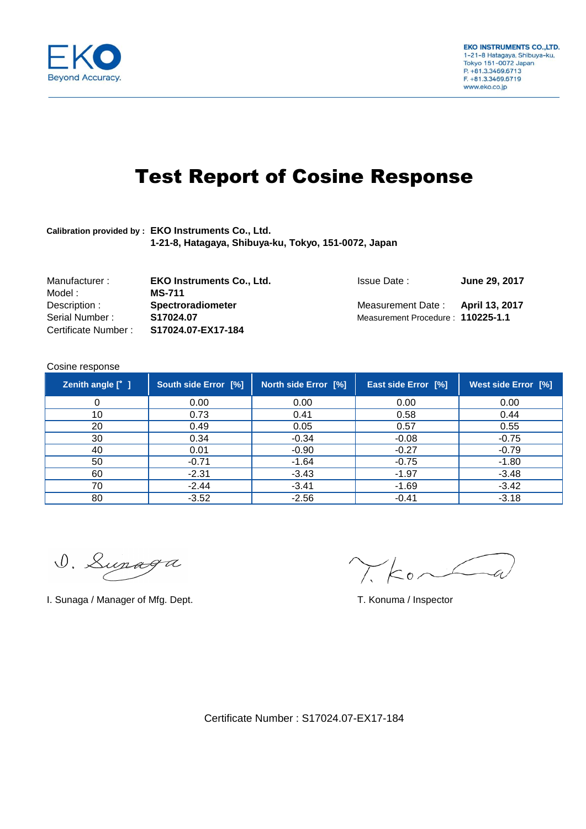

# Test Report of Cosine Response

## **Calibration provided by : EKO Instruments Co., Ltd. 1-21-8, Hatagaya, Shibuya-ku, Tokyo, 151-0072, Japan**

| Manufacturer:       | <b>EKO Instruments Co., Ltd.</b> | <b>Issue Date:</b>                | June 29, 2017 |
|---------------------|----------------------------------|-----------------------------------|---------------|
| Model :             | <b>MS-711</b>                    |                                   |               |
| Description :       | <b>Spectroradiometer</b>         | Measurement Date: April 13, 2017  |               |
| Serial Number:      | S17024.07                        | Measurement Procedure: 110225-1.1 |               |
| Certificate Number: | S17024.07-EX17-184               |                                   |               |

### Cosine response

| Zenith angle [° ] | South side Error [%] | <b>North side Error [%]</b> | East side Error [%] | <b>West side Error [%]</b> |
|-------------------|----------------------|-----------------------------|---------------------|----------------------------|
| 0                 | 0.00                 | 0.00                        | 0.00                | 0.00                       |
| 10                | 0.73                 | 0.41                        | 0.58                | 0.44                       |
| 20                | 0.49                 | 0.05                        | 0.57                | 0.55                       |
| 30                | 0.34                 | $-0.34$                     | $-0.08$             | $-0.75$                    |
| 40                | 0.01                 | $-0.90$                     | $-0.27$             | $-0.79$                    |
| 50                | $-0.71$              | $-1.64$                     | $-0.75$             | $-1.80$                    |
| 60                | $-2.31$              | $-3.43$                     | $-1.97$             | $-3.48$                    |
| 70                | $-2.44$              | $-3.41$                     | $-1.69$             | $-3.42$                    |
| 80                | $-3.52$              | $-2.56$                     | $-0.41$             | $-3.18$                    |

D. Lupaga

I. Sunaga / Manager of Mfg. Dept. T. Konuma / Inspector

 $\chi$ ko $\sim$ 

Certificate Number : S17024.07-EX17-184